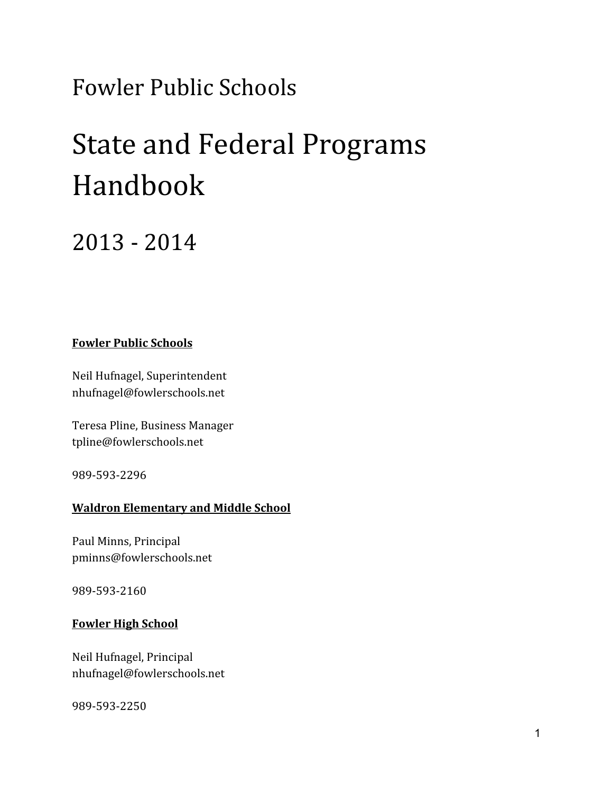## Fowler Public Schools

# State and Federal Programs Handbook

### 2013 - 2014

#### **Fowler Public Schools**

Neil Hufnagel, Superintendent nhufnagel@fowlerschools.net

Teresa Pline, Business Manager tpline@fowlerschools.net

989-593-2296

#### **Waldron Elementary and Middle School**

Paul Minns, Principal [pminns@fowlerschools.net](mailto:pminns@fowlerschools.net)

989-593-2160

#### **Fowler High School**

Neil Hufnagel, Principal [nhufnagel@fowlerschools.net](mailto:nhufnagel@fowlerschools.net)

989-593-2250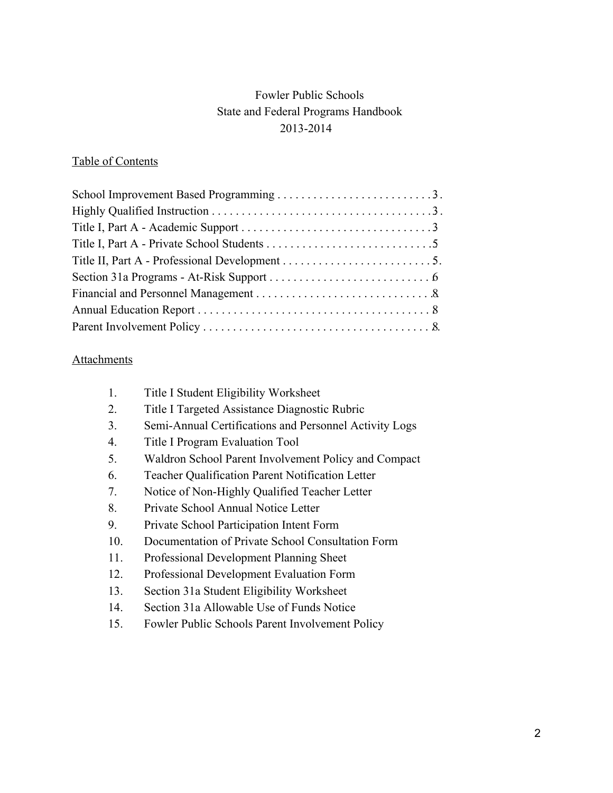#### Fowler Public Schools State and Federal Programs Handbook 20132014

#### Table of Contents

#### **Attachments**

| 1.  | <b>Title I Student Eligibility Worksheet</b>            |
|-----|---------------------------------------------------------|
| 2.  | Title I Targeted Assistance Diagnostic Rubric           |
| 3.  | Semi-Annual Certifications and Personnel Activity Logs  |
| 4.  | Title I Program Evaluation Tool                         |
| 5.  | Waldron School Parent Involvement Policy and Compact    |
| 6.  | <b>Teacher Qualification Parent Notification Letter</b> |
| 7.  | Notice of Non-Highly Qualified Teacher Letter           |
| 8.  | Private School Annual Notice Letter                     |
| 9.  | Private School Participation Intent Form                |
| 10. | Documentation of Private School Consultation Form       |
| 11. | Professional Development Planning Sheet                 |
| 12. | Professional Development Evaluation Form                |
|     |                                                         |

- 13. Section 31a Student Eligibility Worksheet
- 14. Section 31a Allowable Use of Funds Notice
- 15. Fowler Public Schools Parent Involvement Policy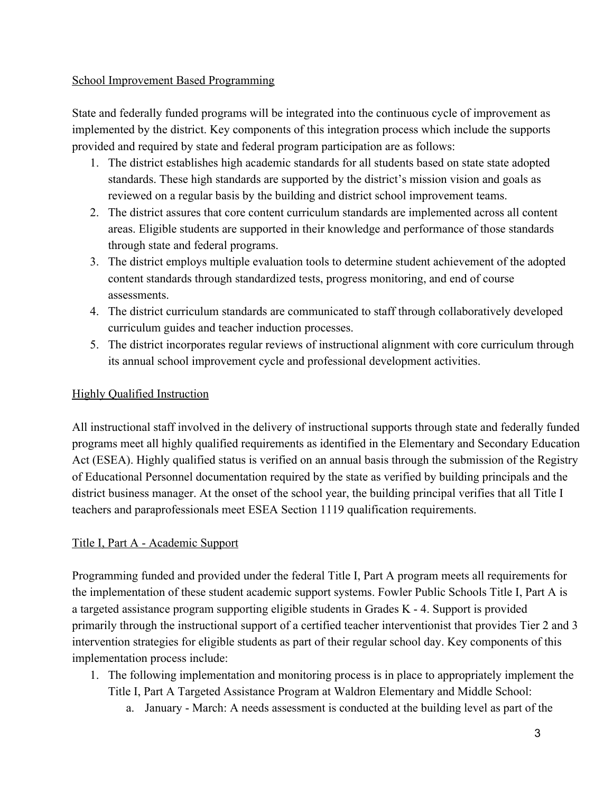#### School Improvement Based Programming

State and federally funded programs will be integrated into the continuous cycle of improvement as implemented by the district. Key components of this integration process which include the supports provided and required by state and federal program participation are as follows:

- 1. The district establishes high academic standards for all students based on state state adopted standards. These high standards are supported by the district's mission vision and goals as reviewed on a regular basis by the building and district school improvement teams.
- 2. The district assures that core content curriculum standards are implemented across all content areas. Eligible students are supported in their knowledge and performance of those standards through state and federal programs.
- 3. The district employs multiple evaluation tools to determine student achievement of the adopted content standards through standardized tests, progress monitoring, and end of course assessments.
- 4. The district curriculum standards are communicated to staff through collaboratively developed curriculum guides and teacher induction processes.
- 5. The district incorporates regular reviews of instructional alignment with core curriculum through its annual school improvement cycle and professional development activities.

#### Highly Qualified Instruction

All instructional staff involved in the delivery of instructional supports through state and federally funded programs meet all highly qualified requirements as identified in the Elementary and Secondary Education Act (ESEA). Highly qualified status is verified on an annual basis through the submission of the Registry of Educational Personnel documentation required by the state as verified by building principals and the district business manager. At the onset of the school year, the building principal verifies that all Title I teachers and paraprofessionals meet ESEA Section 1119 qualification requirements.

#### Title I, Part A - Academic Support

Programming funded and provided under the federal Title I, Part A program meets all requirements for the implementation of these student academic support systems. Fowler Public Schools Title I, Part A is a targeted assistance program supporting eligible students in Grades K - 4. Support is provided primarily through the instructional support of a certified teacher interventionist that provides Tier 2 and 3 intervention strategies for eligible students as part of their regular school day. Key components of this implementation process include:

- 1. The following implementation and monitoring process is in place to appropriately implement the Title I, Part A Targeted Assistance Program at Waldron Elementary and Middle School:
	- a. January March: A needs assessment is conducted at the building level as part of the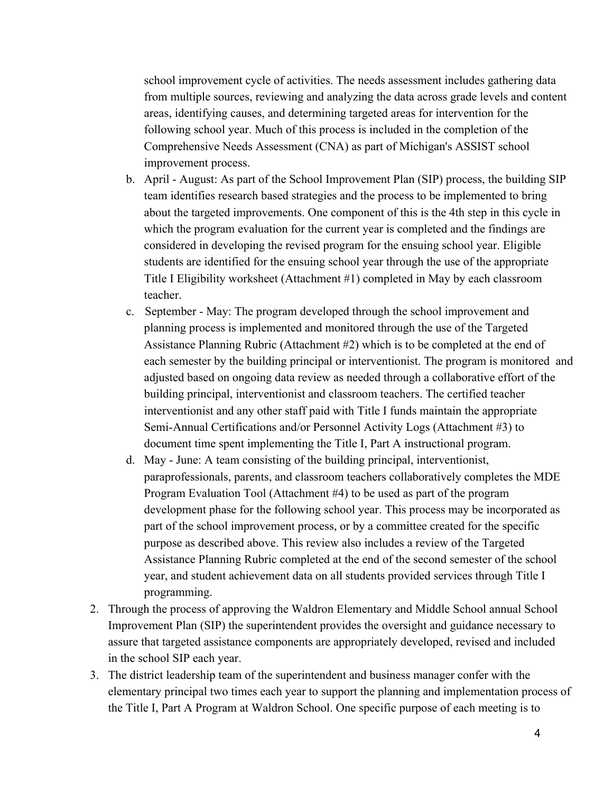school improvement cycle of activities. The needs assessment includes gathering data from multiple sources, reviewing and analyzing the data across grade levels and content areas, identifying causes, and determining targeted areas for intervention for the following school year. Much of this process is included in the completion of the Comprehensive Needs Assessment (CNA) as part of Michigan's ASSIST school improvement process.

- b. April August: As part of the School Improvement Plan (SIP) process, the building SIP team identifies research based strategies and the process to be implemented to bring about the targeted improvements. One component of this is the 4th step in this cycle in which the program evaluation for the current year is completed and the findings are considered in developing the revised program for the ensuing school year. Eligible students are identified for the ensuing school year through the use of the appropriate Title I Eligibility worksheet (Attachment #1) completed in May by each classroom teacher.
- c. September May: The program developed through the school improvement and planning process is implemented and monitored through the use of the Targeted Assistance Planning Rubric (Attachment #2) which is to be completed at the end of each semester by the building principal or interventionist. The program is monitored and adjusted based on ongoing data review as needed through a collaborative effort of the building principal, interventionist and classroom teachers. The certified teacher interventionist and any other staff paid with Title I funds maintain the appropriate Semi-Annual Certifications and/or Personnel Activity Logs (Attachment #3) to document time spent implementing the Title I, Part A instructional program.
- d. May June: A team consisting of the building principal, interventionist, paraprofessionals, parents, and classroom teachers collaboratively completes the MDE Program Evaluation Tool (Attachment #4) to be used as part of the program development phase for the following school year. This process may be incorporated as part of the school improvement process, or by a committee created for the specific purpose as described above. This review also includes a review of the Targeted Assistance Planning Rubric completed at the end of the second semester of the school year, and student achievement data on all students provided services through Title I programming.
- 2. Through the process of approving the Waldron Elementary and Middle School annual School Improvement Plan (SIP) the superintendent provides the oversight and guidance necessary to assure that targeted assistance components are appropriately developed, revised and included in the school SIP each year.
- 3. The district leadership team of the superintendent and business manager confer with the elementary principal two times each year to support the planning and implementation process of the Title I, Part A Program at Waldron School. One specific purpose of each meeting is to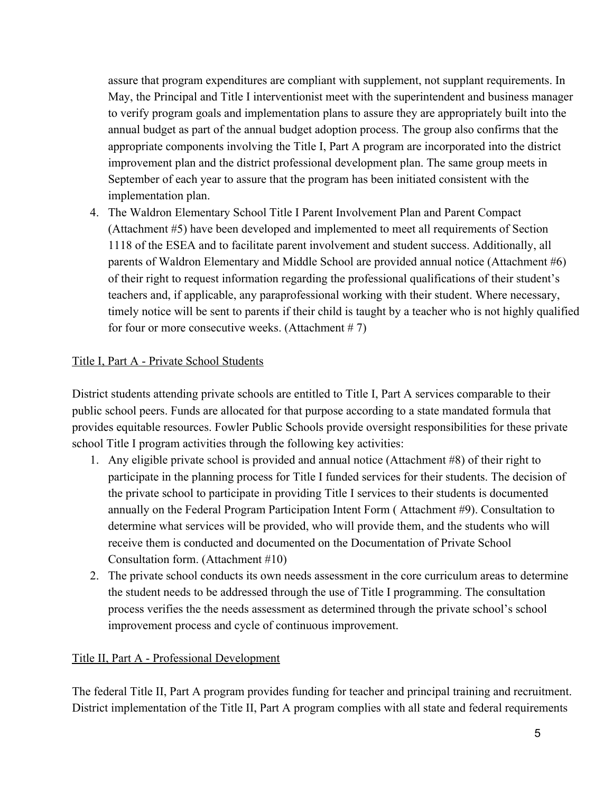assure that program expenditures are compliant with supplement, not supplant requirements. In May, the Principal and Title I interventionist meet with the superintendent and business manager to verify program goals and implementation plans to assure they are appropriately built into the annual budget as part of the annual budget adoption process. The group also confirms that the appropriate components involving the Title I, Part A program are incorporated into the district improvement plan and the district professional development plan. The same group meets in September of each year to assure that the program has been initiated consistent with the implementation plan.

4. The Waldron Elementary School Title I Parent Involvement Plan and Parent Compact (Attachment #5) have been developed and implemented to meet all requirements of Section 1118 of the ESEA and to facilitate parent involvement and student success. Additionally, all parents of Waldron Elementary and Middle School are provided annual notice (Attachment #6) of their right to request information regarding the professional qualifications of their student's teachers and, if applicable, any paraprofessional working with their student. Where necessary, timely notice will be sent to parents if their child is taught by a teacher who is not highly qualified for four or more consecutive weeks. (Attachment  $# 7$ )

#### Title I, Part A - Private School Students

District students attending private schools are entitled to Title I, Part A services comparable to their public school peers. Funds are allocated for that purpose according to a state mandated formula that provides equitable resources. Fowler Public Schools provide oversight responsibilities for these private school Title I program activities through the following key activities:

- 1. Any eligible private school is provided and annual notice (Attachment #8) of their right to participate in the planning process for Title I funded services for their students. The decision of the private school to participate in providing Title I services to their students is documented annually on the Federal Program Participation Intent Form ( Attachment #9). Consultation to determine what services will be provided, who will provide them, and the students who will receive them is conducted and documented on the Documentation of Private School Consultation form. (Attachment #10)
- 2. The private school conducts its own needs assessment in the core curriculum areas to determine the student needs to be addressed through the use of Title I programming. The consultation process verifies the the needs assessment as determined through the private school's school improvement process and cycle of continuous improvement.

#### Title II, Part A - Professional Development

The federal Title II, Part A program provides funding for teacher and principal training and recruitment. District implementation of the Title II, Part A program complies with all state and federal requirements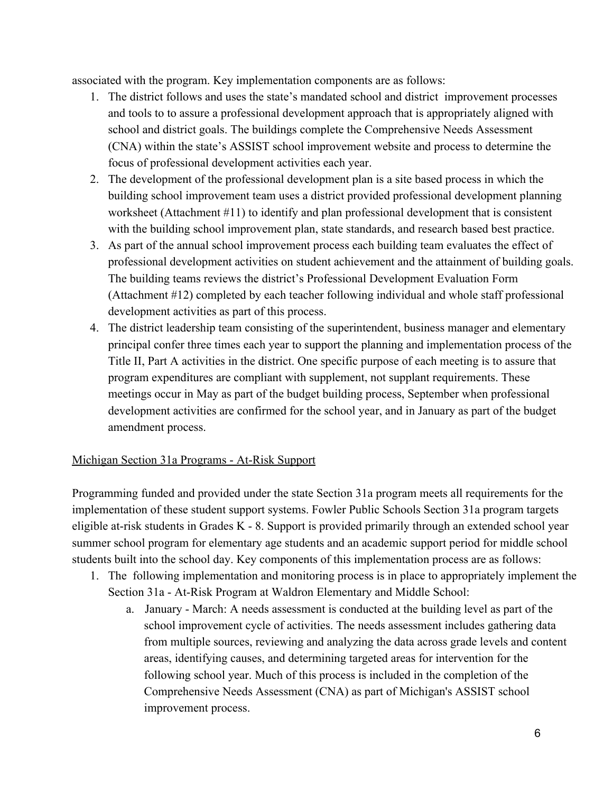associated with the program. Key implementation components are as follows:

- 1. The district follows and uses the state's mandated school and district improvement processes and tools to to assure a professional development approach that is appropriately aligned with school and district goals. The buildings complete the Comprehensive Needs Assessment (CNA) within the state's ASSIST school improvement website and process to determine the focus of professional development activities each year.
- 2. The development of the professional development plan is a site based process in which the building school improvement team uses a district provided professional development planning worksheet (Attachment #11) to identify and plan professional development that is consistent with the building school improvement plan, state standards, and research based best practice.
- 3. As part of the annual school improvement process each building team evaluates the effect of professional development activities on student achievement and the attainment of building goals. The building teams reviews the district's Professional Development Evaluation Form (Attachment #12) completed by each teacher following individual and whole staff professional development activities as part of this process.
- 4. The district leadership team consisting of the superintendent, business manager and elementary principal confer three times each year to support the planning and implementation process of the Title II, Part A activities in the district. One specific purpose of each meeting is to assure that program expenditures are compliant with supplement, not supplant requirements. These meetings occur in May as part of the budget building process, September when professional development activities are confirmed for the school year, and in January as part of the budget amendment process.

#### Michigan Section 31a Programs - At-Risk Support

Programming funded and provided under the state Section 31a program meets all requirements for the implementation of these student support systems. Fowler Public Schools Section 31a program targets eligible at-risk students in Grades  $K - 8$ . Support is provided primarily through an extended school year summer school program for elementary age students and an academic support period for middle school students built into the school day. Key components of this implementation process are as follows:

- 1. The following implementation and monitoring process is in place to appropriately implement the Section 31a - At-Risk Program at Waldron Elementary and Middle School:
	- a. January March: A needs assessment is conducted at the building level as part of the school improvement cycle of activities. The needs assessment includes gathering data from multiple sources, reviewing and analyzing the data across grade levels and content areas, identifying causes, and determining targeted areas for intervention for the following school year. Much of this process is included in the completion of the Comprehensive Needs Assessment (CNA) as part of Michigan's ASSIST school improvement process.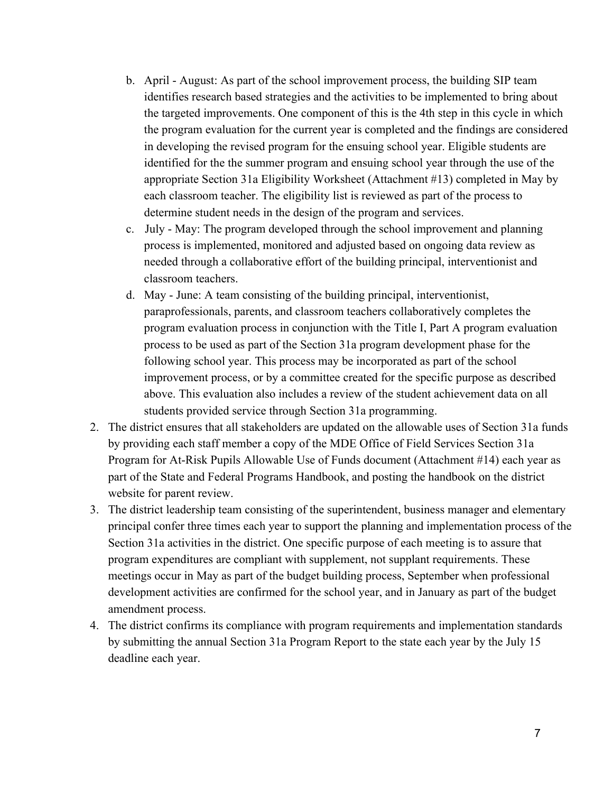- b. April August: As part of the school improvement process, the building SIP team identifies research based strategies and the activities to be implemented to bring about the targeted improvements. One component of this is the 4th step in this cycle in which the program evaluation for the current year is completed and the findings are considered in developing the revised program for the ensuing school year. Eligible students are identified for the the summer program and ensuing school year through the use of the appropriate Section 31a Eligibility Worksheet (Attachment #13) completed in May by each classroom teacher. The eligibility list is reviewed as part of the process to determine student needs in the design of the program and services.
- c. July May: The program developed through the school improvement and planning process is implemented, monitored and adjusted based on ongoing data review as needed through a collaborative effort of the building principal, interventionist and classroom teachers.
- d. May June: A team consisting of the building principal, interventionist, paraprofessionals, parents, and classroom teachers collaboratively completes the program evaluation process in conjunction with the Title I, Part A program evaluation process to be used as part of the Section 31a program development phase for the following school year. This process may be incorporated as part of the school improvement process, or by a committee created for the specific purpose as described above. This evaluation also includes a review of the student achievement data on all students provided service through Section 31a programming.
- 2. The district ensures that all stakeholders are updated on the allowable uses of Section 31a funds by providing each staff member a copy of the MDE Office of Field Services Section 31a Program for At-Risk Pupils Allowable Use of Funds document (Attachment #14) each year as part of the State and Federal Programs Handbook, and posting the handbook on the district website for parent review.
- 3. The district leadership team consisting of the superintendent, business manager and elementary principal confer three times each year to support the planning and implementation process of the Section 31a activities in the district. One specific purpose of each meeting is to assure that program expenditures are compliant with supplement, not supplant requirements. These meetings occur in May as part of the budget building process, September when professional development activities are confirmed for the school year, and in January as part of the budget amendment process.
- 4. The district confirms its compliance with program requirements and implementation standards by submitting the annual Section 31a Program Report to the state each year by the July 15 deadline each year.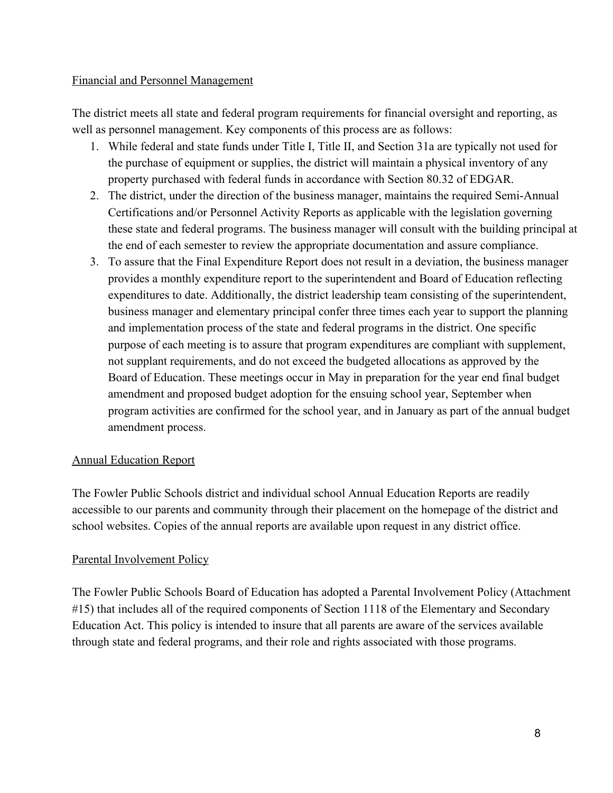#### Financial and Personnel Management

The district meets all state and federal program requirements for financial oversight and reporting, as well as personnel management. Key components of this process are as follows:

- 1. While federal and state funds under Title I, Title II, and Section 31a are typically not used for the purchase of equipment or supplies, the district will maintain a physical inventory of any property purchased with federal funds in accordance with Section 80.32 of EDGAR.
- 2. The district, under the direction of the business manager, maintains the required Semi-Annual Certifications and/or Personnel Activity Reports as applicable with the legislation governing these state and federal programs. The business manager will consult with the building principal at the end of each semester to review the appropriate documentation and assure compliance.
- 3. To assure that the Final Expenditure Report does not result in a deviation, the business manager provides a monthly expenditure report to the superintendent and Board of Education reflecting expenditures to date. Additionally, the district leadership team consisting of the superintendent, business manager and elementary principal confer three times each year to support the planning and implementation process of the state and federal programs in the district. One specific purpose of each meeting is to assure that program expenditures are compliant with supplement, not supplant requirements, and do not exceed the budgeted allocations as approved by the Board of Education. These meetings occur in May in preparation for the year end final budget amendment and proposed budget adoption for the ensuing school year, September when program activities are confirmed for the school year, and in January as part of the annual budget amendment process.

#### Annual Education Report

The Fowler Public Schools district and individual school Annual Education Reports are readily accessible to our parents and community through their placement on the homepage of the district and school websites. Copies of the annual reports are available upon request in any district office.

#### Parental Involvement Policy

The Fowler Public Schools Board of Education has adopted a Parental Involvement Policy (Attachment #15) that includes all of the required components of Section 1118 of the Elementary and Secondary Education Act. This policy is intended to insure that all parents are aware of the services available through state and federal programs, and their role and rights associated with those programs.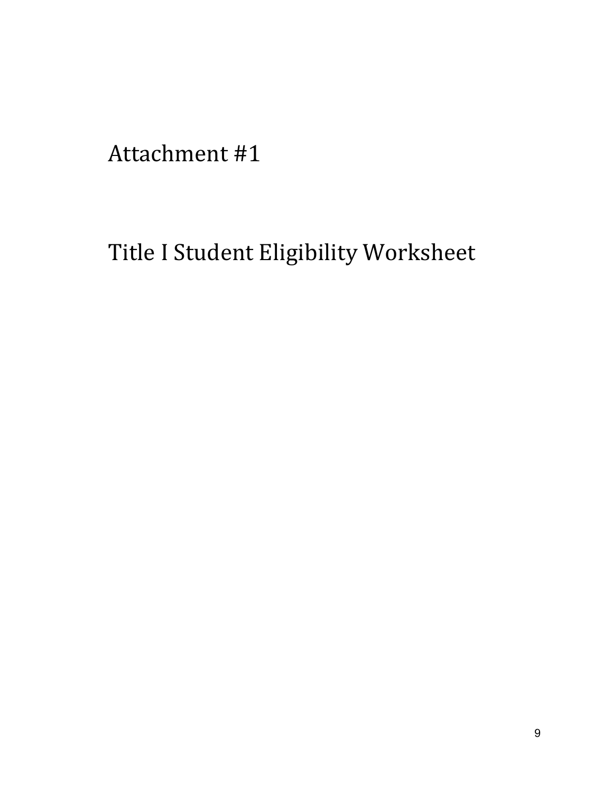Title I Student Eligibility Worksheet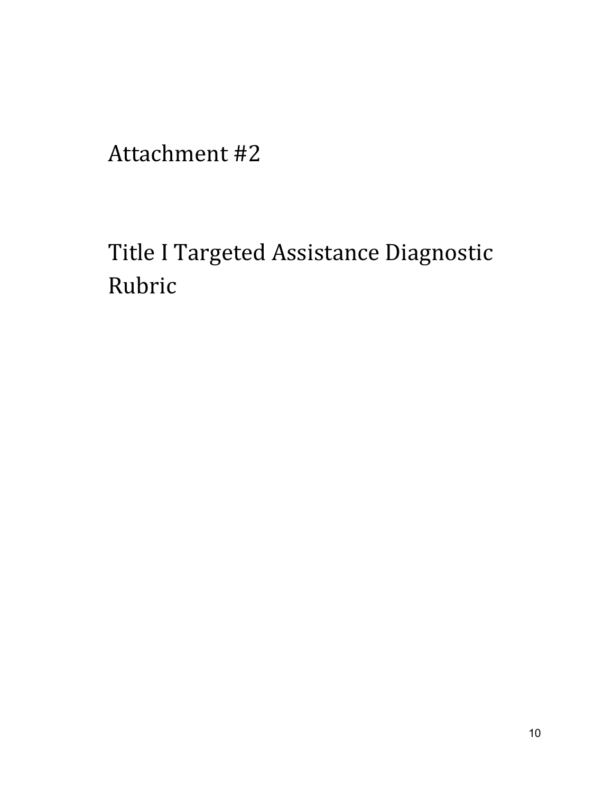Title I Targeted Assistance Diagnostic Rubric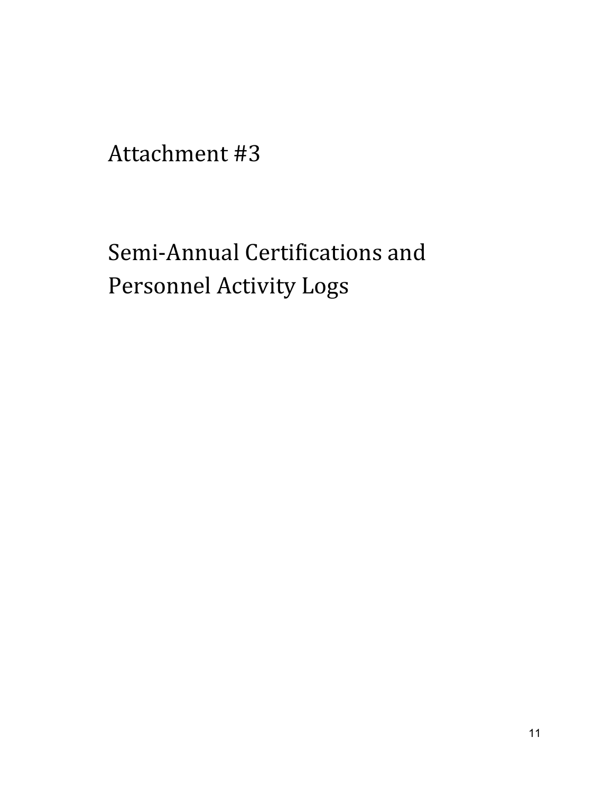## Semi-Annual Certifications and Personnel Activity Logs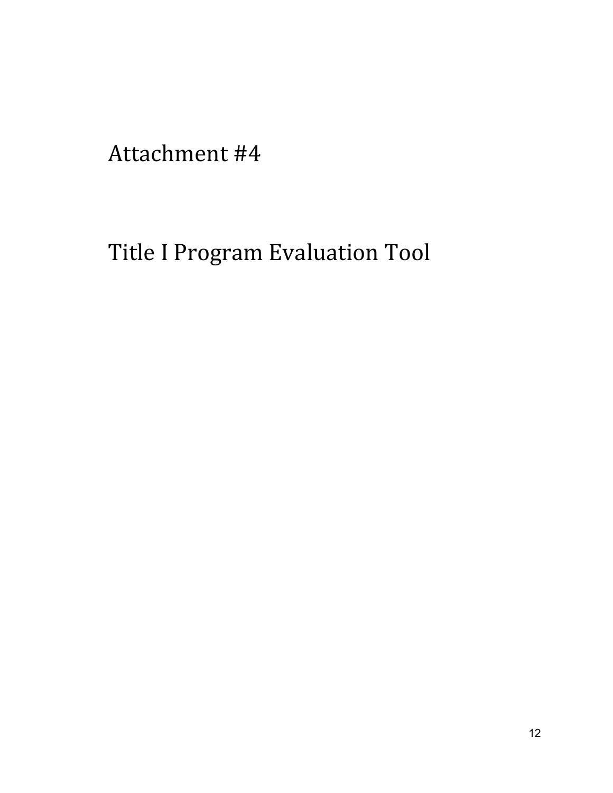## Title I Program Evaluation Tool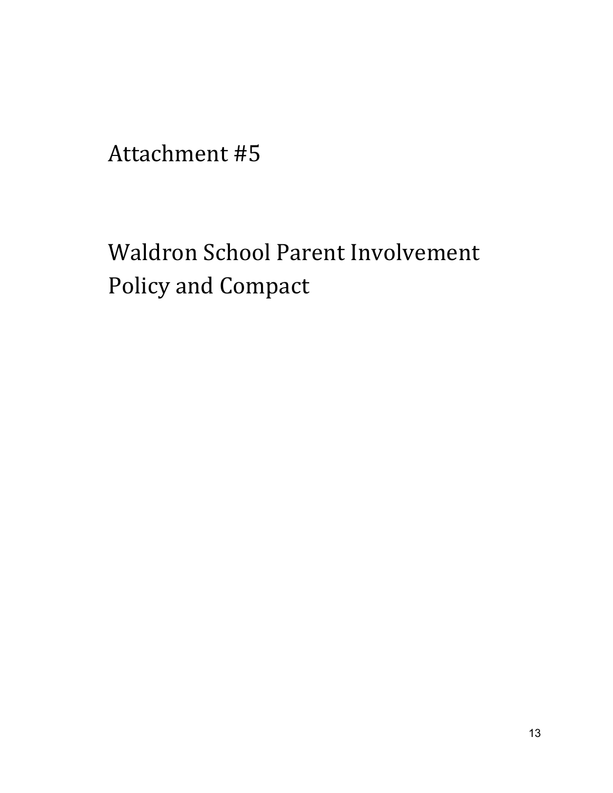Waldron School Parent Involvement Policy and Compact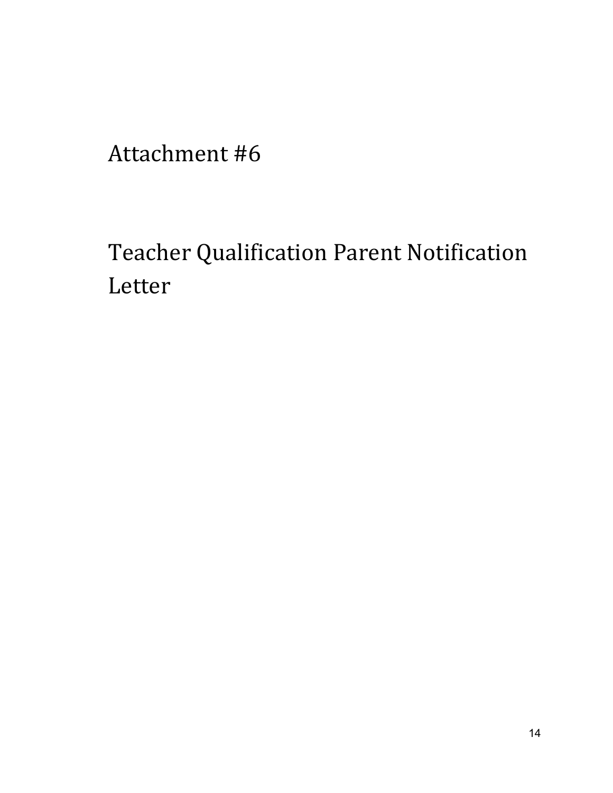Teacher Qualification Parent Notification Letter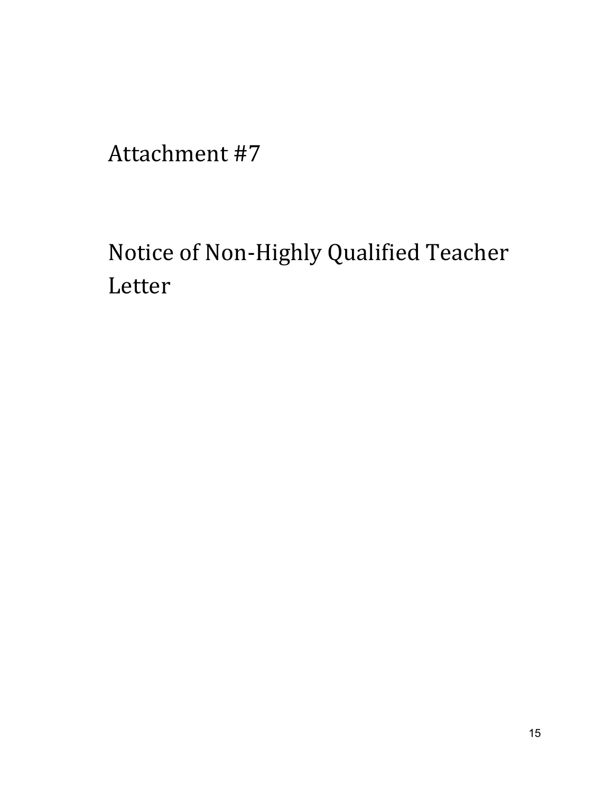Notice of Non-Highly Qualified Teacher Letter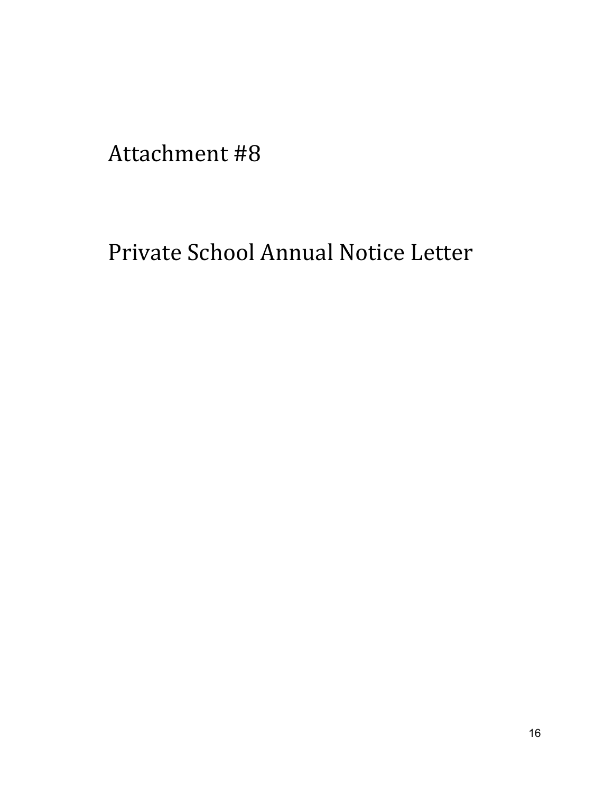## Private School Annual Notice Letter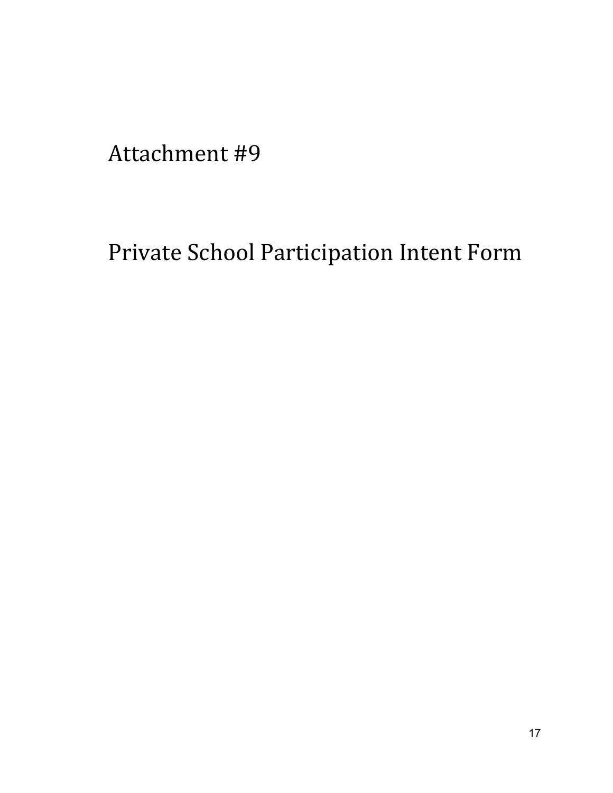## Private School Participation Intent Form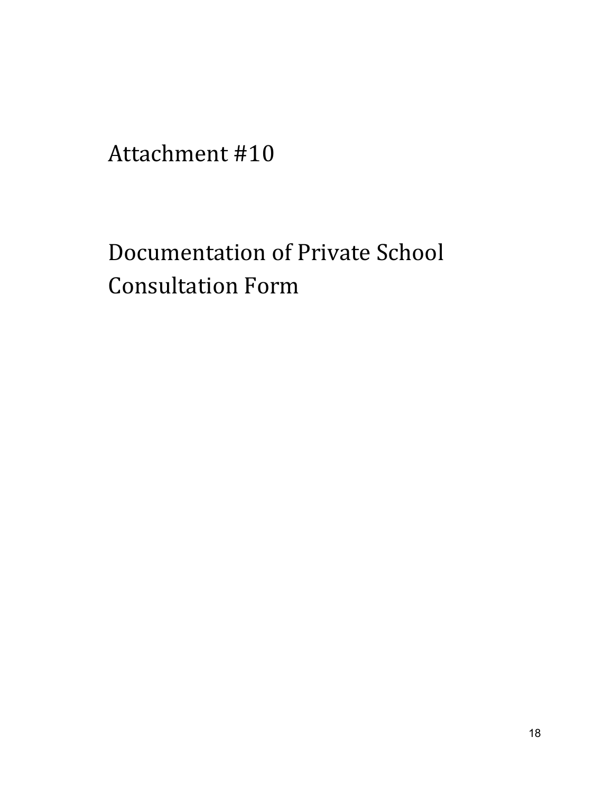Documentation of Private School Consultation Form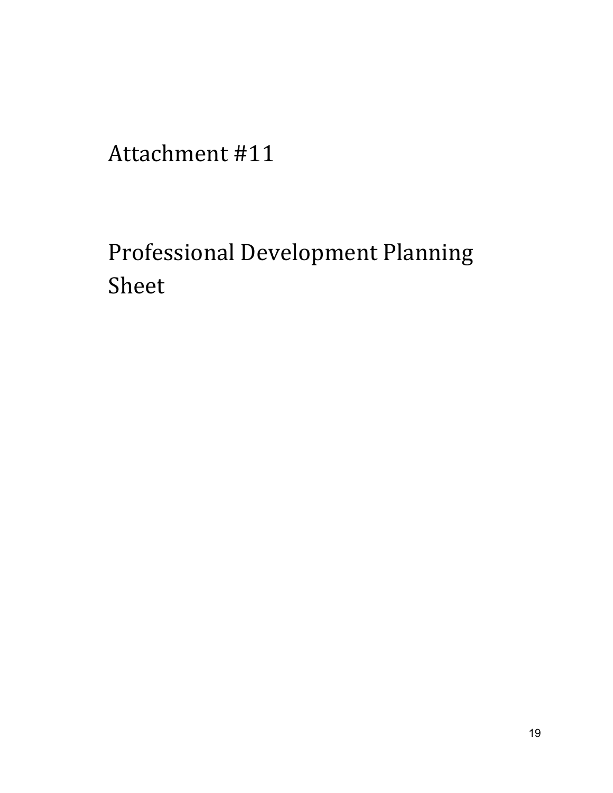## Professional Development Planning Sheet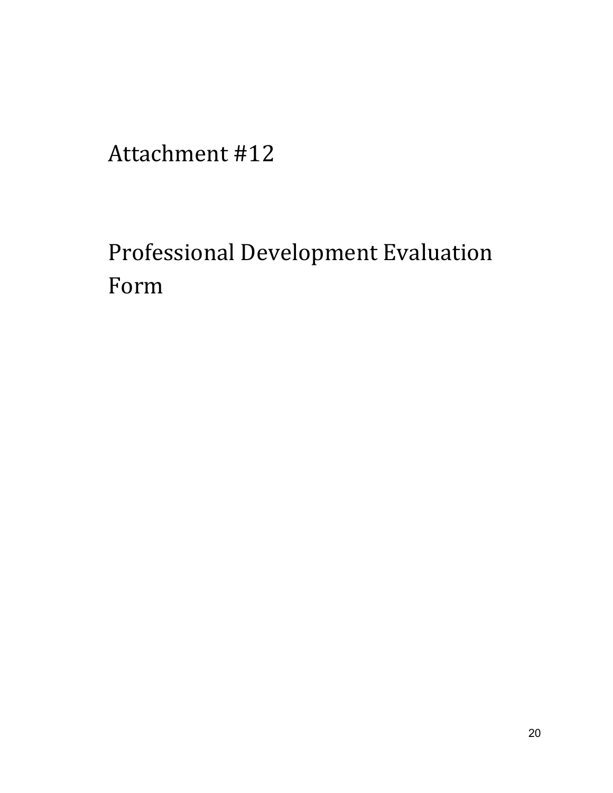## Professional Development Evaluation Form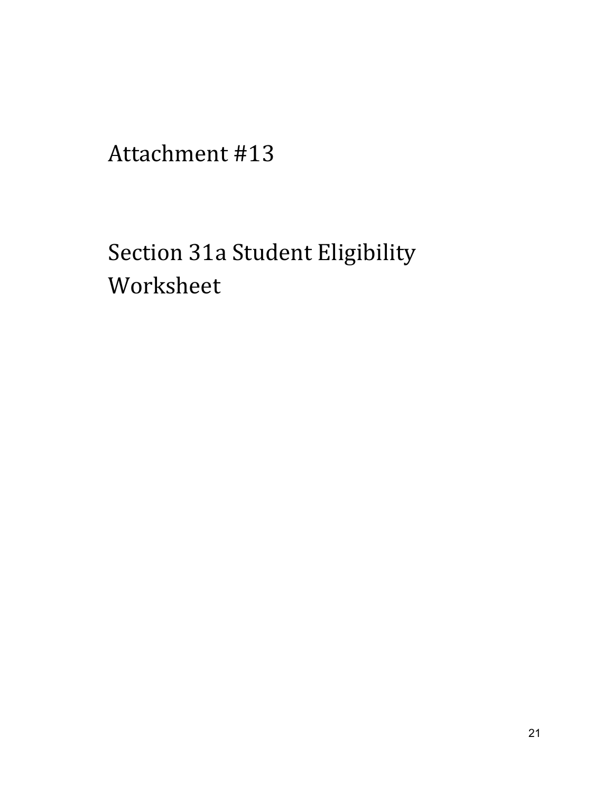## Section 31a Student Eligibility Worksheet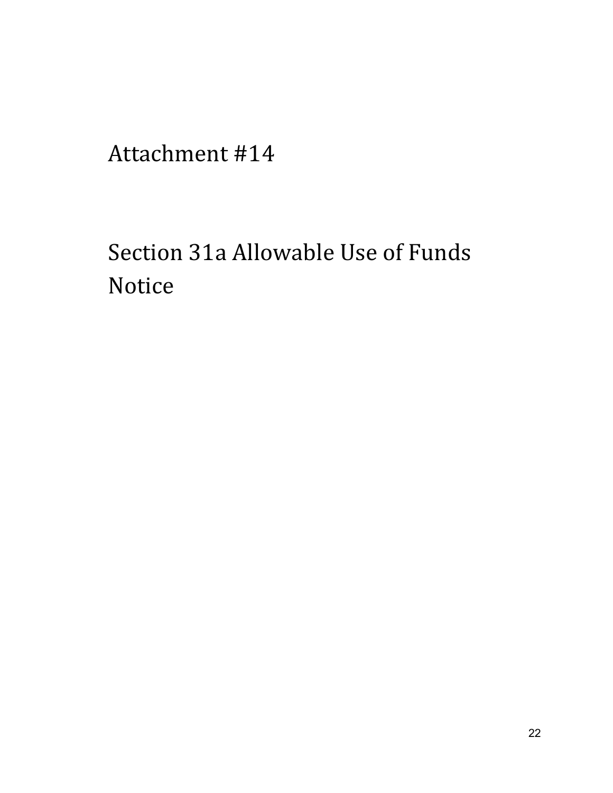## Section 31a Allowable Use of Funds Notice